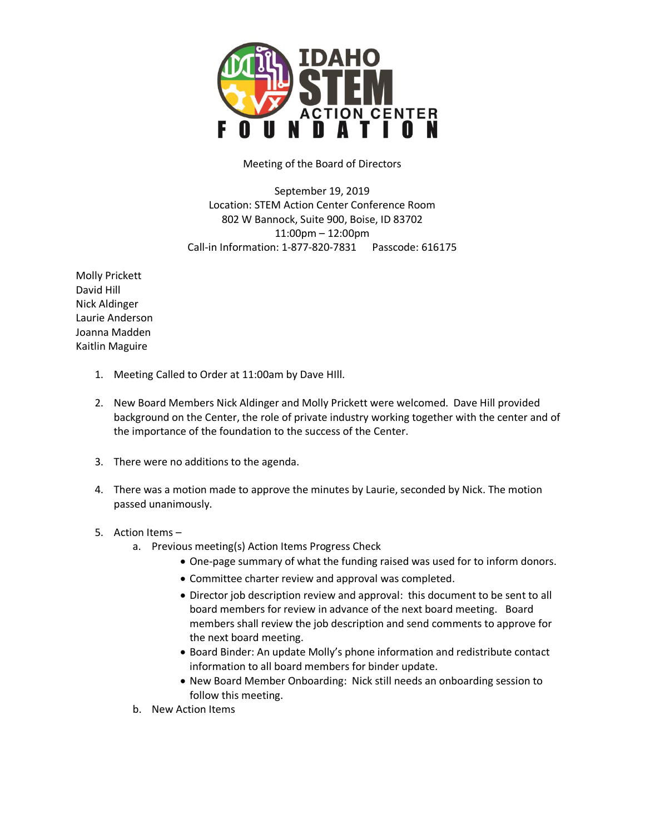

Meeting of the Board of Directors

September 19, 2019 Location: STEM Action Center Conference Room 802 W Bannock, Suite 900, Boise, ID 83702 11:00pm – 12:00pm Call-in Information: 1-877-820-7831 Passcode: 616175

Molly Prickett David Hill Nick Aldinger Laurie Anderson Joanna Madden Kaitlin Maguire

- 1. Meeting Called to Order at 11:00am by Dave HIll.
- 2. New Board Members Nick Aldinger and Molly Prickett were welcomed. Dave Hill provided background on the Center, the role of private industry working together with the center and of the importance of the foundation to the success of the Center.
- 3. There were no additions to the agenda.
- 4. There was a motion made to approve the minutes by Laurie, seconded by Nick. The motion passed unanimously.

## 5. Action Items –

- a. Previous meeting(s) Action Items Progress Check
	- One-page summary of what the funding raised was used for to inform donors.
	- Committee charter review and approval was completed.
	- Director job description review and approval: this document to be sent to all board members for review in advance of the next board meeting. Board members shall review the job description and send comments to approve for the next board meeting.
	- Board Binder: An update Molly's phone information and redistribute contact information to all board members for binder update.
	- New Board Member Onboarding: Nick still needs an onboarding session to follow this meeting.
- b. New Action Items